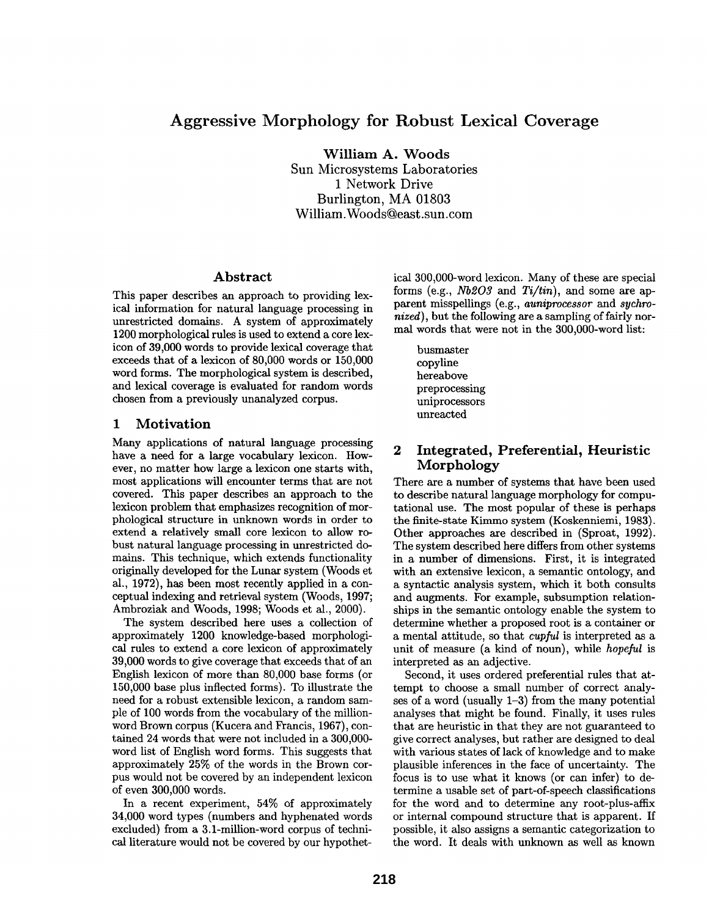# **Aggressive Morphology for Robust Lexical Coverage**

**William A. Woods** 

Sun Microsystems Laboratories 1 Network Drive Burlington, MA 01803 William.Woods@east.sun.corn

#### **Abstract**

This paper describes an approach to providing lexical information for natural language processing in unrestricted domains. A system of approximately 1200 morphological rules is used to extend a core lexicon of 39,000 words to provide lexical coverage that exceeds that of a lexicon of 80,000 words or 150,000 word forms. The morphological system is described, and lexical coverage is evaluated for random words chosen from a previously unanalyzed corpus.

### **1 Motivation**

Many applications of natural language processing have a need for a large vocabulary lexicon. However, no matter how large a lexicon one starts with, most applications will encounter terms that are not covered. This paper describes an approach to the lexicon problem that emphasizes recognition of morphological structure in unknown words in order to extend a relatively small core lexicon to allow robust natural language processing in unrestricted domains. This technique, which extends functionality originally developed for the Lunar system (Woods et al., 1972), has been most recently applied in a conceptual indexing and retrieval system (Woods, 1997; Ambroziak and Woods, 1998; Woods et ai., 2000).

The system described here uses a collection of approximately 1200 knowledge-based morphological rules to extend a core lexicon of approximately 39,000 words to give coverage that exceeds that of an English lexicon of more than 80,000 base forms (or 150,000 base plus inflected forms). To illustrate the need for a robust extensible lexicon, a random sample of 100 words from the vocabulary of the millionword Brown corpus (Kucera and Francis, 1967), contained 24 words that were not included in a 300,000 word list of English word forms. This suggests that approximately 25% of the words in the Brown corpus would not be covered by an independent lexicon of even 300,000 words.

In a recent experiment, 54% of approximately 34,000 word types (numbers and hyphenated words excluded) from a 3.1-million-word corpus of technical literature would not be covered by our hypothetical 300,O00-word lexicon. Many of these are special forms (e.g., *Nb203 and Ti/tin),* and some are apparent misspellings (e.g., *auniprocessor* and *sychronized),* but the following are a sampling of fairly normal words that were not in the 300,O00-word list:

busmaster copyline hereabove preprocessing uniprocessors unreacted

## **2 Integrated, Preferential, Heuristic**  Morphology

There are a number of systems that have been used to describe natural language morphology for computational use. The most popular of these is perhaps the finite-state Kimmo system (Koskenniemi, 1983). Other approaches are described in (Sproat, 1992). The system described here differs from other systems in a number of dimensions. First, it is integrated with an extensive lexicon, a semantic ontology, and a syntactic analysis system, which it both consults and augments. For example, subsumption relationships in the semantic ontology enable the system to determine whether a proposed root is a container or a mental attitude, so that *cupful* is interpreted as a unit of measure (a kind of noun), while *hopeful* is interpreted as an adjective.

Second, it uses ordered preferential rules that attempt to choose a small number of correct analyses of a word (usually 1-3) from the many potential analyses that might be found. Finally, it uses rules that are heuristic in that they are not guaranteed to give correct analyses, but rather are designed to deal with various states of lack of knowledge and to make plausible inferences in the face of uncertainty. The focus is to use what it knows (or can infer) to determine a usable set of part-of-speech classifications for the word and to determine any root-plus-affix or internal compound structure that is apparent. If possible, it also assigns a semantic categorization to the word. It deals with unknown as well as known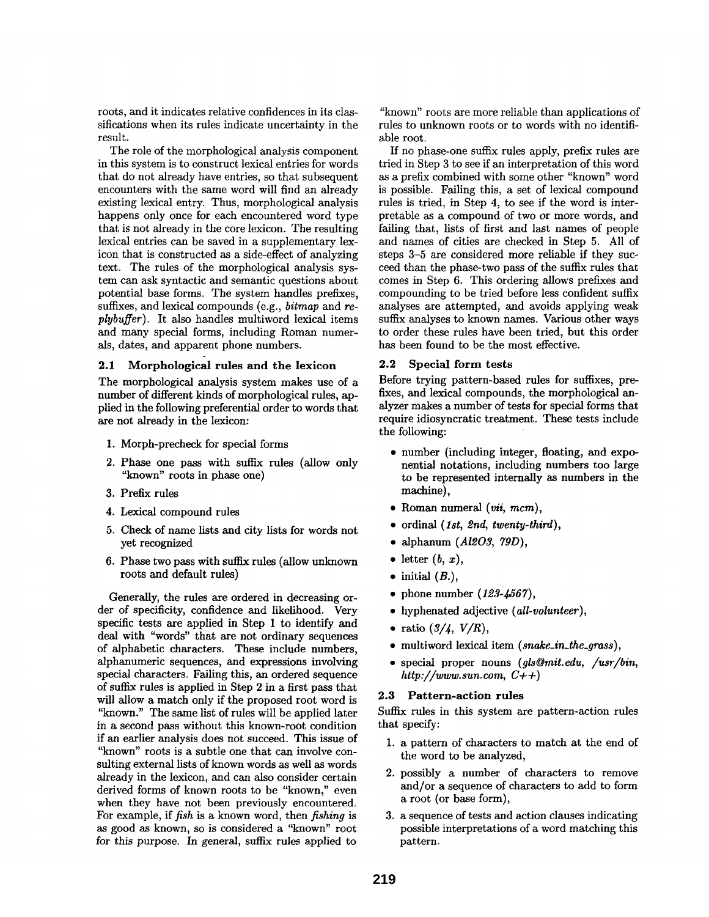roots, and it indicates relative confidences in its classifications when its rules indicate uncertainty in the result.

The role of the morphological analysis component in this system is to construct lexical entries for words that do not already have entries, so that subsequent encounters with the same word will find an already existing lexical entry. Thus, morphological analysis happens only once for each encountered word type that is not already in the core lexicon. The resulting lexical entries can be saved in a supplementary lexicon that is constructed as a side-effect of analyzing text. The rules of the morphological analysis system can ask syntactic and semantic questions about potential base forms. The system handles prefixes, suffixes, and lexical compounds (e.g., *bitmap* and *replybuffer).* It also handles multiword lexical items and many special forms, including Roman numerals, dates, and apparent phone numbers.

## 2.1 Morphological rules and the lexicon

The morphological analysis system makes use of a number of different kinds of morphological rules, applied in the following preferential order to words that are not already in the lexicon:

- 1. Morph-precheck for special forms
- 2. Phase one pass with suffix rules (allow only "known" roots in phase one)
- 3. Prefix rules
- 4. Lexical compound rules
- 5. Check of name lists and city lists for words not yet recognized
- 6. Phase two pass with suffix rules (allow unknown roots and default rules)

Generally, the rules are ordered in decreasing order of specificity, confidence and likelihood. Very specific tests are applied in Step 1 to identify and deal with "words" that are not ordinary sequences of alphabetic characters. These include numbers, alphanumeric sequences, and expressions involving special characters. Falling this, an ordered sequence of suffix rules is applied in Step 2 in a first pass that will allow a match only if the proposed root word is "known." The same list of rules will be applied later in a second pass without this known-root condition if an earlier analysis does not succeed. This issue of "known" roots is a subtle one that can involve consulting external lists of known words as well as words already in the lexicon, and can also consider certain derived forms of known roots to be "known," even when they have not been previously encountered. For example, if *fish* is a known word, then *fishing* is as good as known, so is considered a "known" root for this purpose. In general, suffix rules applied to

"known" roots are more reliable than applications of rules to unknown roots or to words with no identifiable root.

If no phase-one suffix rules apply, prefix rules are tried in Step 3 to see if an interpretation of this word as a prefix combined with some other "known" word is possible. Falling this, a set of lexical compound rules is tried, in Step 4, to see if the word is interpretable as a compound of two or more words, and failing that, lists of first and last names of people and names of cities are checked in Step 5. All of steps 3-5 are considered more reliable if they succeed than the phase-two pass of the suffix rules that comes in Step 6. This ordering allows prefixes and compounding to be tried before less confident suffix analyses are attempted, and avoids applying weak suffix analyses to known names. Various other ways to order these rules have been tried, but this order has been found to be the most effective.

#### 2.2 Special form tests

Before trying pattern-based rules for suffixes, prefixes, and lexical compounds, the morphological analyzer makes a number of tests for special forms that require idiosyncratic treatment. These tests include the following:

- number (including integer, floating, and exponential notations, including numbers too large to be represented internally as numbers in the machine),
- Roman numeral *(vii, mcm),*
- ordinal *(1st, 2nd, twenty-third),*
- alphanum *(Al203, 79D),*
- letter  $(b, x)$ ,
- $\bullet$  initial  $(B<sub>.</sub>)$ ,
- phone number *(123-4567),*
- hyphenated adjective *(all-volunteer),*
- ratio  $(3/4, V/R)$ ,
- multiword lexical item *(snake\_in\_the\_grass),*
- special proper nouns *(gls@mit.edu, /usr/bin, http://www.sun.com, C+ + )*

#### **2.3** Pattern-action rules

Suffix rules in this system are pattern-action rules that specify:

- 1. a pattern of characters to match at the end of the word to be analyzed,
- 2. possibly a number of characters to remove and/or a sequence of characters to add to form a root (or base form),
- 3. a sequence of tests and action clauses indicating possible interpretations of a word matching this pattern.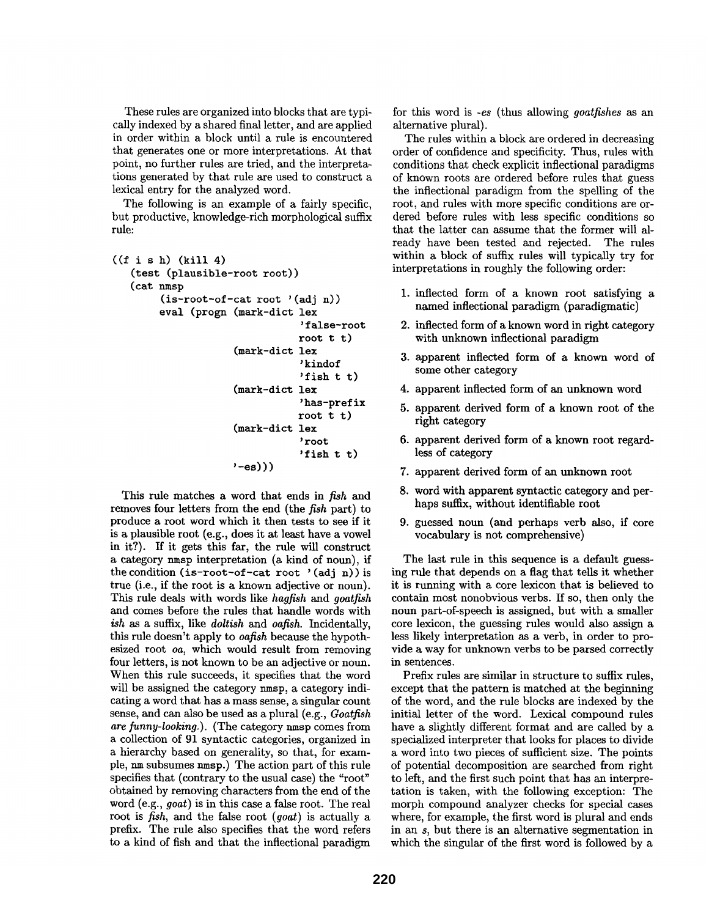These rules are organized into blocks that are typically indexed by a shared final letter, and are applied in order within a block until a rule is encountered that generates one or more interpretations. At that point, no further rules are tried, and the interpretations generated by that rule are used to construct a lexical entry for the analyzed word.

The following is an example of a fairly specific, but productive, knowledge-rich morphological suffix rule:

```
((f is h) (kill 4))(test (plausible-root root)) 
   (cat nmsp 
        (is-root-of-cat root '(adj n)) 
        eval (progn (mark-dict lex
                       (mark-dict 
lex 
                       (mark-dict 
lex 
                       (mark-dict 
lex 
                      '-es))) 
                                   'false-root 
                                  root t t) 
                                   'kindof 
                                   'fish t t) 
                                   'has-prefix 
                                   root t t) 
                                   'root 
                                   'fish t t)
```
This rule matches a word that ends in *fish and*  removes four letters from the end (the *fish* part) to produce a root word which it then tests to see if it is a plausible root (e.g., does it at least have a vowel in it?). If it gets this fax, the rule will construct a category nmsp interpretation (a kind of noun), if the condition (is-root-of-cat root '(adj n)) is true (i.e., if the root is a known adjective or noun). This rule deals with words like *hagfish and goatfish*  and comes before the rules that handle words with *ish* as a suffix, like *doltish and oafish.* Incidentally, this rule doesn't apply to *oafish* because the hypothesized root *on,* which would result from removing four letters, is not known to be an adjective or noun. When this rule succeeds, it specifies that the word will be assigned the category nmsp, a category indicating a word that has a mass sense, a singular count sense, and can also be used as a plural (e.g., *Goatfish*  are funny-looking.). (The category nmsp comes from a collection of 91 syntactic categories, organized in a hierarchy based on generality, so that, for example, nm subsumes nmsp.) The action part of this rule specifies that (contrary to the usual case) the "root" obtained by removing characters from the end of the word (e.g., *goat)* is in this case a false root. The real root is *fish,* and the false root *(goat)* is actually a prefix. The rule also specifies that the word refers to a kind of fish and that the inflectional paradigm

for this word is *-es* (thus allowing *goatfishes as* an alternative plural).

The rules within a block are ordered in decreasing order of confidence and specificity. Thus, rules with conditions that check explicit inflectional paradigms of known roots are ordered before rules that guess the inflectional paradigm from the spelling of the root, and rules with more specific conditions are ordered before rules with less specific conditions so that the latter can assume that the former will already have been tested and rejected. The rules within a block of suffix rules will typically try for interpretations in roughly the following order:

- 1. inflected form of a known root satisfying a named inflectional paradigm (paradigmatic)
- 2. inflected form of a known word in right category with unknown inflectional paradigm
- 3. apparent inflected form of a known word of some other category
- 4. apparent inflected form of an unknown word
- 5. apparent derived form of a known root of the right category
- 6. apparent derived form of a known root regardless of category
- 7. apparent derived form of an unknown root
- 8. word with apparent syntactic category and perhaps suffix, without identifiable root
- 9. guessed noun (and perhaps verb also, if core vocabulary is not comprehensive)

The last rule in this sequence is a default guessing rule that depends on a flag that tells it whether it is running with a core lexicon that is believed to contain most nonobvious verbs. If so, then only the noun part-of-speech is assigned, but with a smaller core lexicon, the guessing rules would also assign a less likely interpretation as a verb, in order to provide a way for unknown verbs to be parsed correctly in sentences.

Prefix rules are similar in structure to suffix rules, except that the pattern is matched at the beginning of the word, and the rule blocks are indexed by the initial letter of the word. Lexical compound rules have a slightly different format and are called by a specialized interpreter that looks for places to divide a word into two pieces of sufficient size. The points of potential decomposition are searched from right to left, and the first such point that has an interpretation is taken, with the following exception: The morph compound analyzer checks for special cases where, for example, the first word is plural and ends in an s, but there is an alternative segmentation in which the singular of the first word is followed by a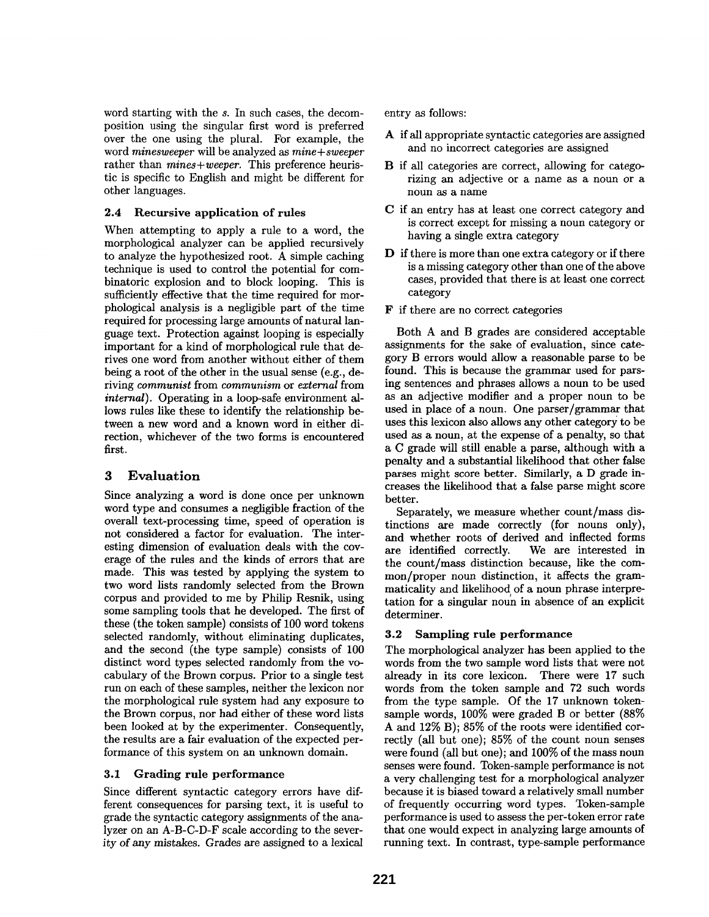word starting with the s. In such cases, the decomposition using the singular first word is preferred over the one using the plural. For example, the word *minesweeper* will be analyzed as *mine+sweeper*  rather than *mines+weeper.* This preference heuristic is specific to English and might be different for other languages.

#### 2.4 Recursive application of rules

When attempting to apply a rule to a word, the morphological analyzer can be applied recursively to analyze the hypothesized root. A simple caching technique is used to control the potential for combinatoric explosion and to block looping. This is sufficiently effective that the time required for morphological analysis is a negligible part of the time required for processing large amounts of natural language text. Protection against looping is especially important for a kind of morphological rule that derives one word from another without either of them being a root of the other in the usual sense (e.g., deriving *communist* from *communism* or *external* from *internal).* Operating in a loop-safe environment allows rules like these to identify the relationship between a new word and a known word in either direction, whichever of the two forms is encountered first.

# 3 Evaluation

Since analyzing a word is done once per unknown word type and consumes a negligible fraction of the overall text-processing time, speed of operation is not considered a factor for evaluation. The interesting dimension of evaluation deals with the coverage of the rules and the kinds of errors that are made. This was tested by applying the system to two word lists randomly selected from the Brown corpus and provided to me by Philip Resnik, using some sampling tools that he developed. The first of these (the token sample) consists of 100 word tokens selected randomly, without eliminating duplicates, and the second (the type sample) consists of 100 distinct word types selected randomly from the vocabulary of the Brown corpus. Prior to a single test run on each of these samples, neither the lexicon nor the morphological rule system had any exposure to the Brown corpus, nor had either of these word lists been looked at by the experimenter. Consequently, the results are a fair evaluation of the expected performance of this system on an unknown domain.

### 3.1 Grading rule performance

Since different syntactic category errors have different consequences for parsing text, it is useful to grade the syntactic category assignments of the analyzer on an A-B-C-D-F scale according to the severity of any mistakes. Grades are assigned to a lexical

entry as follows:

- A if all appropriate syntactic categories are assigned and no incorrect categories are assigned
- B if all categories are correct, allowing for categorizing an adjective or a name as a noun or a noun as a name
- C if an entry has at least one correct category and is correct except for missing a noun category or having a single extra category
- D if there is more than one extra category or if there is a missing category other than one of the above cases, provided that there is at least one correct category
- F if there are no correct categories

Both A and B grades are considered acceptable assignments for the sake of evaluation, since category B errors would allow a reasonable parse to be found. This is because the grammar used for parsing sentences and phrases allows a noun to be used as an adjective modifier and a proper noun to be used in place of a noun. One parser/grammar that uses this lexicon also allows any other category to be used as a noun, at the expense of a penalty, so that a C grade will still enable a parse, although with a penalty and a substantial likelihood that other false parses might score better. Similarly, a D grade increases the likelihood that a false parse might score better.

Separately, we measure whether count/mass distinctions are made correctly (for nouns only), and whether roots of derived and inflected forms are identified correctly. We are interested in the count/mass distinction because, like the common/proper noun distinction, it affects the grammaticality and likelihood of a noun phrase interpretation for a singular noun in absence of an explicit determiner.

# 3.2 Sampling rule performance

The morphological analyzer has been applied to the words from the two sample word lists that were not already in its core lexicon. There were 17 such words from the token sample and 72 such words from the type sample. Of the 17 unknown tokensample words, 100% were graded B or better (88% A and 12% B); 85% of the roots were identified correctly (all but one); 85% of the count noun senses were found (all but one); and 100% of the mass noun senses were found. Token-sample performance is not a very challenging test for a morphological analyzer because it is biased toward a relatively small number of frequently occurring word types. Token-sample performance is used to assess the per-token error rate that one would expect in analyzing large amounts of running text. In contrast, type-sample performance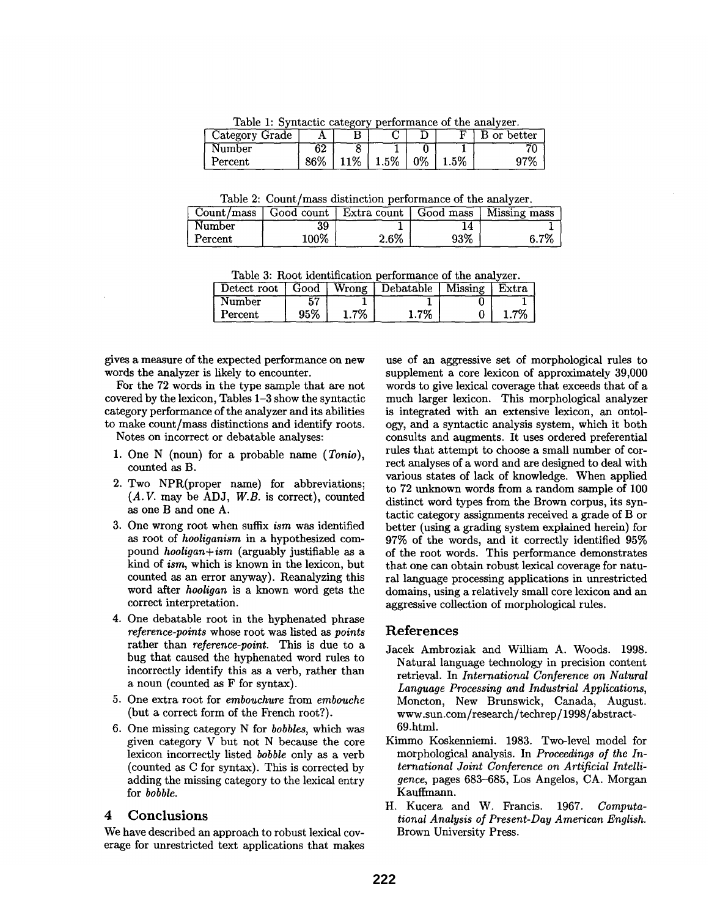Table 1: Syntactic category performance of the analyzer.

| Category Grade |     |    |    |    |        | better<br>or |
|----------------|-----|----|----|----|--------|--------------|
| Number         | 62  |    |    |    |        |              |
| Percent        | 86% | 1% | 5% | 0% | $.5\%$ | 97%          |

Table 2: Count/mass distinction performance of the analyzer.

| Count/mass |      | $\sim$ Good count   Extra count | Good mass      | Missing mass |
|------------|------|---------------------------------|----------------|--------------|
| Number     | 39   |                                 | $\overline{A}$ |              |
| Percent    | 100% | 2.6%                            | 93%            | .7%          |

Table 3: Root identification performance of the analyzer.

| Detect root   Good |     |         | Wrong Debatable Missing | Extra |
|--------------------|-----|---------|-------------------------|-------|
| <b>Number</b>      |     |         |                         |       |
| Percent            | 95% | $1.7\%$ | $1.7\%$                 | -702  |

gives a measure of the expected performance on new words the analyzer is likely to encounter.

For the 72 words in the type sample that are not covered by the lexicon, Tables 1-3 show the syntactic category performance of the analyzer and its abilities to make count/mass distinctions and identify roots.

Notes on incorrect or debatable analyses:

- 1. One N (noun) for a probable name *(Tonio),*  counted as B.
- 2. Two NPR(proper name) for abbreviations; (A. V. may be ADJ, *W.B.* is correct), counted as one B and one A.
- 3. One wrong root when suffix *ism* was identified as root of *hooliganism* in a hypothesized compound *hooligan+ism* (arguably justifiable as a kind of *ism,* which is known in the lexicon, but counted as an error anyway). Reanalyzing this word after *hooligan* is a known word gets the correct interpretation.
- 4. One debatable root in the hyphenated phrase *reference-points* whose root was listed as *points*  rather than *reference-point.* This is due to a bug that caused the hyphenated word rules to incorrectly identify this as a verb, rather than a noun (counted as F for syntax).
- 5. One extra root for *embouchure* from *embouche*  (but a correct form of the French root?).
- 6. One missing category N for *bobbles,* which was given category V but not N because the core lexicon incorrectly listed *bobble* only as a verb (counted as C for syntax). This is corrected by adding the missing category to the lexical entry for *bobble.*

#### **4 Conclusions**

We have described an approach to robust lexical coverage for unrestricted text applications that makes use of an aggressive set of morphological rules to supplement a core lexicon of approximately 39,000 words to give lexical coverage that exceeds that of a much larger lexicon. This morphological analyzer is integrated with an extensive lexicon, an ontology, and a syntactic analysis system, which it both consults and augments. It uses ordered preferential rules that attempt to choose a small number of correct analyses of a word and are designed to deal with various states of lack of knowledge. When applied to 72 unknown words from a random sample of 100 distinct word types from the Brown corpus, its syntactic category assignments received a grade of B or better (using a grading system explained herein) for 97% of the words, and it correctly identified 95% of the root words. This performance demonstrates that one can obtain robust lexical coverage for natural language processing applications in unrestricted domains, using a relatively small core lexicon and an aggressive collection of morphological rules.

### **References**

- Jacek Ambroziak and William A. Woods. 1998. Natural language technology in precision content retrieval. In *International Conference on Natural Language Processing and Industrial Applications,*  Moncton, New Brunswick, Canada, August. www.sun.com/research/techrep/1998/abstract-69.html.
- Kimmo Koskenniemi. 1983. Two-level model for morphological analysis. In *Proceedings of the International Joint Conference on Artificial Intelligence,* pages 683-685, Los Angelos, CA. Morgan Kauffmann.
- H. Kucera and W. Francis. 1967. *Computational Analysis of Present-Day American English.*  Brown University Press.